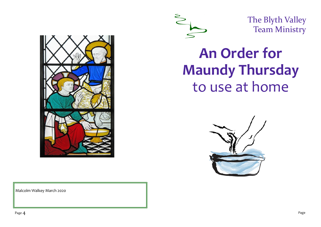



The Blyth Valley Team Ministry

# **An Order for Maundy Thursday** to use at home



Malcolm Walkey March 2020